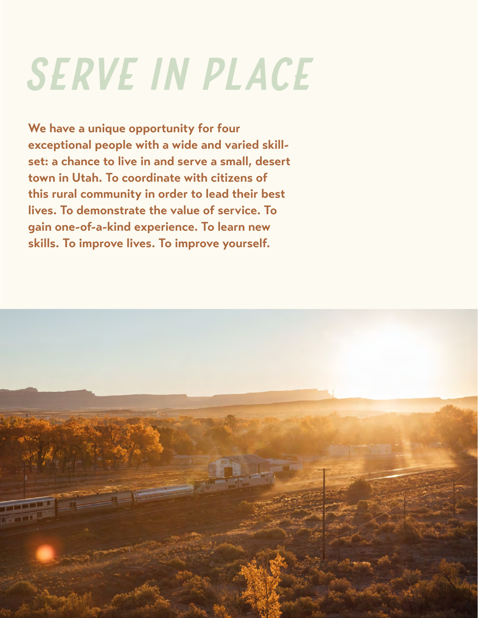## *serve in place*

**We have a unique opportunity for four exceptional people with a wide and varied skillset: a chance to live in and serve a small, desert town in Utah. To coordinate with citizens of this rural community in order to lead their best lives. To demonstrate the value of service. To gain one-of-a-kind experience. To learn new skills. To improve lives. To improve yourself.**

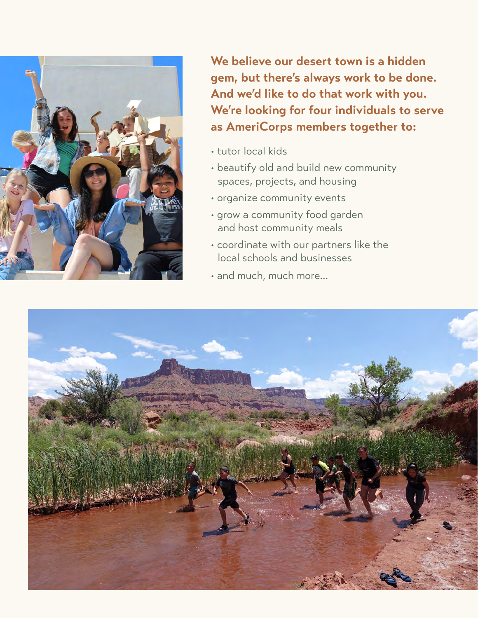

**We believe our desert town is a hidden gem, but there's always work to be done. And we'd like to do that work with you. We're looking for four individuals to serve as AmeriCorps members together to:**

- tutor local kids
- beautify old and build new community spaces, projects, and housing
- organize community events
- grow a community food garden and host community meals
- coordinate with our partners like the local schools and businesses
- and much, much more...

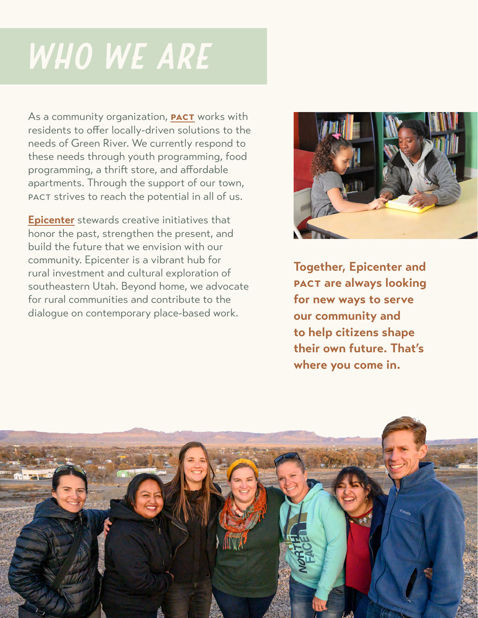## *who we are*

As a community organization, **[pact](https://www.greenriverpact.org/)** works with residents to offer locally-driven solutions to the needs of Green River. We currently respond to these needs through youth programming, food programming, a thrift store, and affordable apartments. Through the support of our town, pact strives to reach the potential in all of us.

**[Epicenter](http://ruralandproud.org)** stewards creative initiatives that honor the past, strengthen the present, and build the future that we envision with our community. Epicenter is a vibrant hub for rural investment and cultural exploration of southeastern Utah. Beyond home, we advocate for rural communities and contribute to the dialogue on contemporary place-based work.



**Together, Epicenter and pact are always looking for new ways to serve our community and to help citizens shape their own future. That's where you come in.**

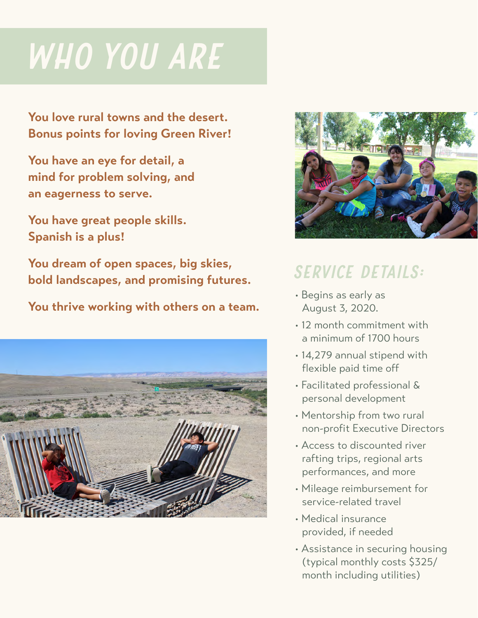## *who you are*

**You love rural towns and the desert. Bonus points for loving Green River!**

**You have an eye for detail, a mind for problem solving, and an eagerness to serve.**

**You have great people skills. Spanish is a plus!**

**You dream of open spaces, big skies, bold landscapes, and promising futures.**

**You thrive working with others on a team.**





## *service details:*

- Begins as early as August 3, 2020.
- 12 month commitment with a minimum of 1700 hours
- 14,279 annual stipend with flexible paid time off
- Facilitated professional & personal development
- Mentorship from two rural non-profit Executive Directors
- Access to discounted river rafting trips, regional arts performances, and more
- Mileage reimbursement for service-related travel
- Medical insurance provided, if needed
- Assistance in securing housing (typical monthly costs \$325/ month including utilities)